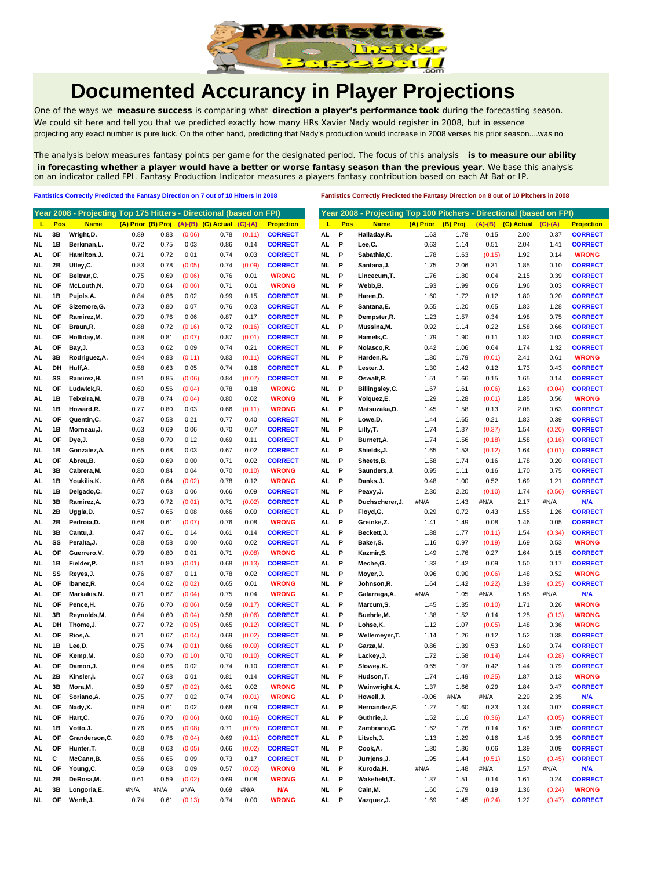

## **Documented Accurancy in Player Projections**

One of the ways we **measure success** is comparing what **direction a player's performance took** during the forecasting season. We could sit here and tell you that we predicted exactly how many HRs Xavier Nady would register in 2008, but in essence projecting any exact number is pure luck. On the other hand, predicting that Nady's production would increase in 2008 verses his prior season....was no

The analysis below measures fantasy points per game for the designated period. The focus of this analysis **is to measure our ability in forecasting whether a player would have a better or worse fantasy season than the previous year**. We base this analysis on an indicator called FPI. Fantasy Production Indicator measures a players fantasy contribution based on each At Bat or IP.

**Fantistics Correctly Predicted the Fantasy Direction on 7 out of 10 Hitters in 2008 Fantistics Correctly Predicted the Fantasy Direction on 8 out of 10 Pitchers in 2008**

|      |     | Year 2008 - Projecting Top 175 Hitters - Directional (based on FPI) |      |      |        |                                       |           |                   |           |     | Year 2008 - Projecting Top 100 Pitchers - Directional (based on FPI) |           |          |           |            |           |                   |
|------|-----|---------------------------------------------------------------------|------|------|--------|---------------------------------------|-----------|-------------------|-----------|-----|----------------------------------------------------------------------|-----------|----------|-----------|------------|-----------|-------------------|
| ц    | Pos | <b>Name</b>                                                         |      |      |        | (A) Prior (B) Proj (A)-(B) (C) Actual | $(C)-(A)$ | <b>Projection</b> | ц         | Pos | <b>Name</b>                                                          | (A) Prior | (B) Proj | $(A)-(B)$ | (C) Actual | $(C)-(A)$ | <b>Projection</b> |
| NL   | 3В  | Wright, D.                                                          | 0.89 | 0.83 | (0.06) | 0.78                                  | (0.11)    | <b>CORRECT</b>    | AL.       | Ρ   | Halladay, R.                                                         | 1.63      | 1.78     | 0.15      | 2.00       | 0.37      | <b>CORRECT</b>    |
| NL   | 1B  | Berkman,L.                                                          | 0.72 | 0.75 | 0.03   | 0.86                                  | 0.14      | <b>CORRECT</b>    | AL.       | P   | Lee,C.                                                               | 0.63      | 1.14     | 0.51      | 2.04       | 1.41      | <b>CORRECT</b>    |
| AL   | OF  | Hamilton, J.                                                        | 0.71 | 0.72 | 0.01   | 0.74                                  | 0.03      | <b>CORRECT</b>    | NL.       | P   | Sabathia, C.                                                         | 1.78      | 1.63     | (0.15)    | 1.92       | 0.14      | <b>WRONG</b>      |
| NL   | 2Β  | Utley,C.                                                            | 0.83 | 0.78 | (0.05) | 0.74                                  | (0.09)    | <b>CORRECT</b>    | NL.       | P   | Santana, J.                                                          | 1.75      | 2.06     | 0.31      | 1.85       | 0.10      | <b>CORRECT</b>    |
| NL   | ΟF  | Beltran, C.                                                         | 0.75 | 0.69 | (0.06) | 0.76                                  | 0.01      | <b>WRONG</b>      | NL        | P   | Lincecum, T.                                                         | 1.76      | 1.80     | 0.04      | 2.15       | 0.39      | <b>CORRECT</b>    |
| NL   | ΟF  | McLouth, N.                                                         | 0.70 | 0.64 | (0.06) | 0.71                                  | 0.01      | <b>WRONG</b>      | NL.       | P   | Webb,B.                                                              | 1.93      | 1.99     | 0.06      | 1.96       | 0.03      | <b>CORRECT</b>    |
| NL   | 1B  | Pujols, A.                                                          | 0.84 | 0.86 | 0.02   | 0.99                                  | 0.15      | <b>CORRECT</b>    | NL        | P   | Haren, D.                                                            | 1.60      | 1.72     | 0.12      | 1.80       | 0.20      | <b>CORRECT</b>    |
| AL   | OF  | Sizemore, G.                                                        | 0.73 | 0.80 | 0.07   | 0.76                                  | 0.03      | <b>CORRECT</b>    | AL        | P   | Santana, E.                                                          | 0.55      | 1.20     | 0.65      | 1.83       | 1.28      | <b>CORRECT</b>    |
| NL   | ΟF  | Ramirez, M.                                                         | 0.70 | 0.76 | 0.06   | 0.87                                  | 0.17      | <b>CORRECT</b>    | NL.       | P   | Dempster,R.                                                          | 1.23      | 1.57     | 0.34      | 1.98       | 0.75      | <b>CORRECT</b>    |
| NL   | ОF  | Braun,R.                                                            | 0.88 | 0.72 | (0.16) | 0.72                                  | (0.16)    | <b>CORRECT</b>    | AL        | P   | Mussina, M.                                                          | 0.92      | 1.14     | 0.22      | 1.58       | 0.66      | <b>CORRECT</b>    |
| NL   | ΟF  | Holliday, M.                                                        | 0.88 | 0.81 | (0.07) | 0.87                                  | (0.01)    | <b>CORRECT</b>    | NL.       | P   | Hamels, C.                                                           | 1.79      | 1.90     | 0.11      | 1.82       | 0.03      | <b>CORRECT</b>    |
| AL   | OF  | Bay, J.                                                             | 0.53 | 0.62 | 0.09   | 0.74                                  | 0.21      | <b>CORRECT</b>    | NL        | P   | Nolasco, R.                                                          | 0.42      | 1.06     | 0.64      | 1.74       | 1.32      | <b>CORRECT</b>    |
| AL   | 3B  | Rodriguez, A.                                                       | 0.94 | 0.83 | (0.11) | 0.83                                  | (0.11)    | <b>CORRECT</b>    | NL.       | P   | Harden, R.                                                           | 1.80      | 1.79     | (0.01)    | 2.41       | 0.61      | <b>WRONG</b>      |
| AL   | DH  | Huff, A.                                                            | 0.58 | 0.63 | 0.05   | 0.74                                  | 0.16      | <b>CORRECT</b>    | AL        | P   | Lester, J.                                                           | 1.30      | 1.42     | 0.12      | 1.73       | 0.43      | <b>CORRECT</b>    |
| NL   | SS  | Ramirez, H.                                                         | 0.91 | 0.85 | (0.06) | 0.84                                  | (0.07)    | <b>CORRECT</b>    | NL.       | P   | Oswalt, R.                                                           | 1.51      | 1.66     | 0.15      | 1.65       | 0.14      | <b>CORRECT</b>    |
| NL   | OF  | Ludwick, R.                                                         | 0.60 | 0.56 | (0.04) | 0.78                                  | 0.18      | <b>WRONG</b>      | NL        | P   | Billingsley, C.                                                      | 1.67      | 1.61     | (0.06)    | 1.63       | (0.04)    | <b>CORRECT</b>    |
| AL   | 1В  | Teixeira, M.                                                        | 0.78 | 0.74 | (0.04) | 0.80                                  | 0.02      | <b>WRONG</b>      | NL        | P   | Volquez,E.                                                           | 1.29      | 1.28     | (0.01)    | 1.85       | 0.56      | <b>WRONG</b>      |
| NL   | 1В  | Howard,R.                                                           | 0.77 | 0.80 | 0.03   | 0.66                                  | (0.11)    | <b>WRONG</b>      | AL        | P   | Matsuzaka, D.                                                        | 1.45      | 1.58     | 0.13      | 2.08       | 0.63      | <b>CORRECT</b>    |
| AL   | OF  | Quentin,C.                                                          | 0.37 | 0.58 | 0.21   | 0.77                                  | 0.40      | <b>CORRECT</b>    | NL        | P   | Lowe, D.                                                             | 1.44      | 1.65     | 0.21      | 1.83       | 0.39      | <b>CORRECT</b>    |
| AL   | 1В  | Morneau,J.                                                          | 0.63 | 0.69 | 0.06   | 0.70                                  | 0.07      | <b>CORRECT</b>    | NL.       | P   | Lilly, T.                                                            | 1.74      | 1.37     | (0.37)    | 1.54       | (0.20)    | <b>CORRECT</b>    |
| AL   | OF  | Dye, J.                                                             | 0.58 | 0.70 | 0.12   | 0.69                                  | 0.11      | <b>CORRECT</b>    | AL        | P   | Burnett, A.                                                          | 1.74      | 1.56     | (0.18)    | 1.58       | (0.16)    | <b>CORRECT</b>    |
| NL   | 1В  | Gonzalez, A.                                                        | 0.65 | 0.68 | 0.03   | 0.67                                  | 0.02      | <b>CORRECT</b>    | AL.       | P   | Shields, J.                                                          | 1.65      | 1.53     | (0.12)    | 1.64       | (0.01)    | <b>CORRECT</b>    |
| AL   | OF  | Abreu,B.                                                            | 0.69 | 0.69 | 0.00   | 0.71                                  | 0.02      | <b>CORRECT</b>    | NL.       | P   | Sheets, B.                                                           | 1.58      | 1.74     | 0.16      | 1.78       | 0.20      | <b>CORRECT</b>    |
| AL   | 3B  | Cabrera, M.                                                         | 0.80 | 0.84 | 0.04   | 0.70                                  | (0.10)    | <b>WRONG</b>      | AL        | P   | Saunders, J.                                                         | 0.95      | 1.11     | 0.16      | 1.70       | 0.75      | <b>CORRECT</b>    |
| AL   | 1В  | Youkilis, K.                                                        | 0.66 | 0.64 | (0.02) | 0.78                                  | 0.12      | <b>WRONG</b>      | AL        | P   | Danks, J.                                                            | 0.48      | 1.00     | 0.52      | 1.69       | 1.21      | <b>CORRECT</b>    |
| NL   | 1В  | Delgado, C.                                                         | 0.57 | 0.63 | 0.06   | 0.66                                  | 0.09      | <b>CORRECT</b>    | NL        | P   | Peavy, J.                                                            | 2.30      | 2.20     | (0.10)    | 1.74       | (0.56)    | <b>CORRECT</b>    |
| NL   | 3B  | Ramirez, A.                                                         | 0.73 | 0.72 | (0.01) | 0.71                                  | (0.02)    | <b>CORRECT</b>    | AL.       | P   | Duchscherer, J.                                                      | #N/A      | 1.43     | #N/A      | 2.17       | #N/A      | N/A               |
| NL   | 2Β  | Uggla, D.                                                           | 0.57 | 0.65 | 0.08   | 0.66                                  | 0.09      | <b>CORRECT</b>    | AL        | P   | Floyd, G.                                                            | 0.29      | 0.72     | 0.43      | 1.55       | 1.26      | <b>CORRECT</b>    |
| AL   | 2Β  | Pedroia,D.                                                          | 0.68 | 0.61 | (0.07) | 0.76                                  | 0.08      | <b>WRONG</b>      | AL        | P   | Greinke, Z.                                                          | 1.41      | 1.49     | 0.08      | 1.46       | 0.05      | <b>CORRECT</b>    |
| NL.  | 3B  | Cantu,J.                                                            | 0.47 | 0.61 | 0.14   | 0.61                                  | 0.14      | <b>CORRECT</b>    | AL        | P   | Beckett, J.                                                          | 1.88      | 1.77     | (0.11)    | 1.54       | (0.34)    | <b>CORRECT</b>    |
| AL.  | SS  | Peralta, J.                                                         | 0.58 | 0.58 | 0.00   | 0.60                                  | 0.02      | <b>CORRECT</b>    | AL        | P   | Baker, S.                                                            | 1.16      | 0.97     | (0.19)    | 1.69       | 0.53      | <b>WRONG</b>      |
| AL   | ΟF  | Guerrero, V.                                                        | 0.79 | 0.80 | 0.01   | 0.71                                  | (0.08)    | <b>WRONG</b>      | AL        | P   | Kazmir, S.                                                           | 1.49      | 1.76     | 0.27      | 1.64       | 0.15      | <b>CORRECT</b>    |
| NL   | 1В  | Fielder,P.                                                          | 0.81 | 0.80 | (0.01) | 0.68                                  | (0.13)    | <b>CORRECT</b>    | AL        | P   | Meche, G.                                                            | 1.33      | 1.42     | 0.09      | 1.50       | 0.17      | <b>CORRECT</b>    |
| NL   | SS  | Reyes, J.                                                           | 0.76 | 0.87 | 0.11   | 0.78                                  | 0.02      | <b>CORRECT</b>    | NL.       | P   | Moyer, J.                                                            | 0.96      | 0.90     | (0.06)    | 1.48       | 0.52      | <b>WRONG</b>      |
| AL   | ОF  | Ibanez,R.                                                           | 0.64 | 0.62 | (0.02) | 0.65                                  | 0.01      | <b>WRONG</b>      | NL.       | P   | Johnson,R.                                                           | 1.64      | 1.42     | (0.22)    | 1.39       | (0.25)    | <b>CORRECT</b>    |
| AL   | OF  | Markakis, N.                                                        | 0.71 | 0.67 | (0.04) | 0.75                                  | 0.04      | <b>WRONG</b>      | AL        | P   | Galarraga, A.                                                        | #N/A      | 1.05     | #N/A      | 1.65       | #N/A      | N/A               |
| NL   | ΟF  | Pence,H.                                                            | 0.76 | 0.70 | (0.06) | 0.59                                  | (0.17)    | <b>CORRECT</b>    | AL        | P   | Marcum, S.                                                           | 1.45      | 1.35     | (0.10)    | 1.71       | 0.26      | <b>WRONG</b>      |
| NL   | 3B  | Reynolds, M.                                                        | 0.64 | 0.60 | (0.04) | 0.58                                  | (0.06)    | <b>CORRECT</b>    | AL        | P   | Buehrle, M.                                                          | 1.38      | 1.52     | 0.14      | 1.25       | (0.13)    | <b>WRONG</b>      |
| AL   | DH  | Thome, J.                                                           | 0.77 | 0.72 | (0.05) | 0.65                                  | (0.12)    | <b>CORRECT</b>    | NL.       | P   | Lohse,K.                                                             | 1.12      | 1.07     | (0.05)    | 1.48       | 0.36      | <b>WRONG</b>      |
| AL.  | OF  | Rios,A.                                                             | 0.71 | 0.67 | (0.04) | 0.69                                  | (0.02)    | <b>CORRECT</b>    | NL        | P   | Wellemeyer, T.                                                       | 1.14      | 1.26     | 0.12      | 1.52       | 0.38      | <b>CORRECT</b>    |
| NL   | 1B  | Lee,D.                                                              | 0.75 | 0.74 | (0.01) | 0.66                                  | (0.09)    | <b>CORRECT</b>    | AL        | P   | Garza, M.                                                            | 0.86      | 1.39     | 0.53      | 1.60       | 0.74      | <b>CORRECT</b>    |
| NL   | ОF  | Kemp,M.                                                             | 0.80 | 0.70 | (0.10) | 0.70                                  | (0.10)    | <b>CORRECT</b>    | AL        | P   | Lackey, J.                                                           | 1.72      | 1.58     | (0.14)    | 1.44       | (0.28)    | <b>CORRECT</b>    |
| AL   | ΟF  | Damon, J.                                                           | 0.64 | 0.66 | 0.02   | 0.74                                  | 0.10      | <b>CORRECT</b>    | AL.       | P   | Slowey, K.                                                           | 0.65      | 1.07     | 0.42      | 1.44       | 0.79      | <b>CORRECT</b>    |
| AL   | 2Β  | Kinsler, I.                                                         | 0.67 | 0.68 | 0.01   | 0.81                                  | 0.14      | <b>CORRECT</b>    | <b>NL</b> | P   | Hudson, T.                                                           | 1.74      | 1.49     | (0.25)    | 1.87       | 0.13      | <b>WRONG</b>      |
| AL   | 3B  | Mora, M.                                                            | 0.59 | 0.57 | (0.02) | 0.61                                  | 0.02      | <b>WRONG</b>      | NL.       | Ρ   | Wainwright, A.                                                       | 1.37      | 1.66     | 0.29      | 1.84       | 0.47      | <b>CORRECT</b>    |
| NL.  | ΟF  | Soriano, A                                                          | 0.75 | 0.77 | 0.02   | 0.74                                  | (0.01)    | <b>WRONG</b>      | AL        | Р   | Howell, J.                                                           | $-0.06$   | #N/A     | #N/A      | 2.29       | 2.35      | <b>N/A</b>        |
| AL.  | ОF  | Nady, X.                                                            | 0.59 | 0.61 | 0.02   | 0.68                                  | 0.09      | <b>CORRECT</b>    | AL.       | P   | Hernandez, F.                                                        | 1.27      | 1.60     | 0.33      | 1.34       | 0.07      | <b>CORRECT</b>    |
| NL   | ОF  | Hart, C.                                                            | 0.76 | 0.70 | (0.06) | 0.60                                  | (0.16)    | <b>CORRECT</b>    | AL        | P   | Guthrie, J.                                                          | 1.52      | 1.16     | (0.36)    | 1.47       | (0.05)    | <b>CORRECT</b>    |
| NL   | 1B  | Votto, J.                                                           | 0.76 | 0.68 | (0.08) | 0.71                                  | (0.05)    | <b>CORRECT</b>    | NL.       | P   | Zambrano, C.                                                         | 1.62      | 1.76     | 0.14      | 1.67       | 0.05      | <b>CORRECT</b>    |
| AL   | ОF  | Granderson, C.                                                      | 0.80 | 0.76 | (0.04) | 0.69                                  | (0.11)    | <b>CORRECT</b>    | AL        | P   | Litsch, J.                                                           | 1.13      | 1.29     | 0.16      | 1.48       | 0.35      | <b>CORRECT</b>    |
| AL   | ОF  | Hunter, T.                                                          | 0.68 | 0.63 | (0.05) | 0.66                                  | (0.02)    | <b>CORRECT</b>    | NL.       | P   | Cook, A.                                                             | 1.30      | 1.36     | 0.06      | 1.39       | 0.09      | <b>CORRECT</b>    |
| NL.  | С   | McCann,B.                                                           | 0.56 | 0.65 | 0.09   | 0.73                                  | 0.17      | <b>CORRECT</b>    | NL.       | P   | Jurrjens, J.                                                         | 1.95      | 1.44     | (0.51)    | 1.50       | (0.45)    | <b>CORRECT</b>    |
| NL   | OF  | Young, C.                                                           | 0.59 | 0.68 | 0.09   | 0.57                                  | (0.02)    | <b>WRONG</b>      | NL.       | P   | Kuroda, H.                                                           | #N/A      | 1.48     | #N/A      | 1.57       | #N/A      | <b>N/A</b>        |
| NL   | 2B  | DeRosa, M.                                                          | 0.61 | 0.59 | (0.02) | 0.69                                  | 0.08      | <b>WRONG</b>      | AL        | P   | Wakefield, T.                                                        | 1.37      | 1.51     | 0.14      | 1.61       | 0.24      | <b>CORRECT</b>    |
| AL.  | 3B  | Longoria,E.                                                         | #N/A | #N/A | #N/A   | 0.69                                  | #N/A      | N/A               | NL.       | P   | Cain, M.                                                             | 1.60      | 1.79     | 0.19      | 1.36       | (0.24)    | <b>WRONG</b>      |
| NL . | OF  | Werth, J.                                                           | 0.74 | 0.61 | (0.13) | 0.74                                  | 0.00      | <b>WRONG</b>      | AL P      |     | Vazquez, J.                                                          | 1.69      | 1.45     | (0.24)    | 1.22       | (0.47)    | <b>CORRECT</b>    |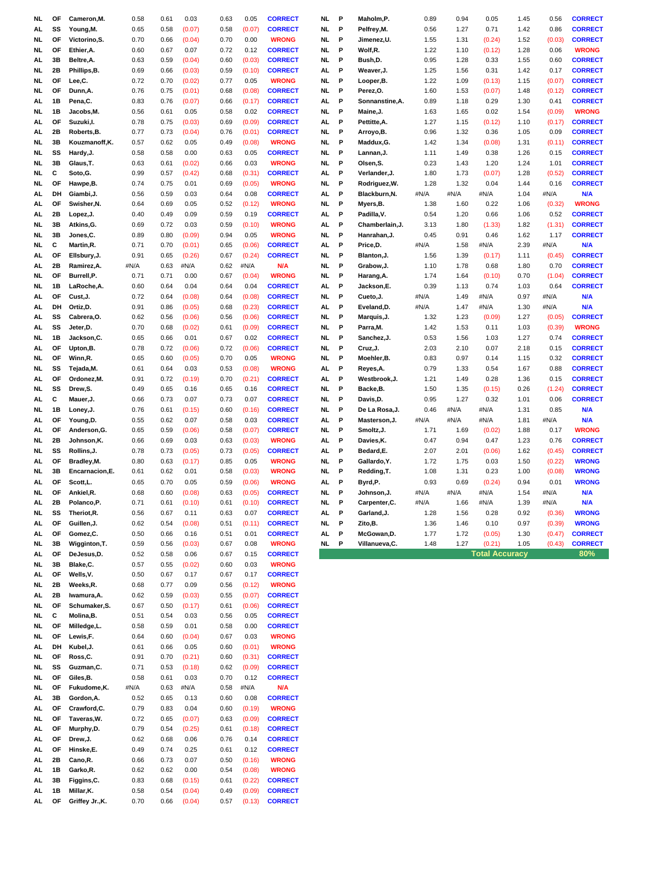| NL.             | ΟF       | Cameron, M.                | 0.58         | 0.61         | 0.03             | 0.63         | 0.05             | <b>CORRECT</b>                   | NL.       | P      | Maholm,P.               | 0.89         | 0.94         | 0.05                  | 1.45         | 0.56             | <b>CORRECT</b>                   |
|-----------------|----------|----------------------------|--------------|--------------|------------------|--------------|------------------|----------------------------------|-----------|--------|-------------------------|--------------|--------------|-----------------------|--------------|------------------|----------------------------------|
| AL.             | SS       | Young, M.                  | 0.65         | 0.58         | (0.07)           | 0.58         | (0.07)           | <b>CORRECT</b>                   | NL.       | P      | Pelfrey, M.             | 0.56         | 1.27         | 0.71                  | 1.42         | 0.86             | <b>CORRECT</b>                   |
| NL.             | OF       | Victorino, S.              | 0.70         | 0.66         | (0.04)           | 0.70         | 0.00             | <b>WRONG</b>                     | NL.       | P      | Jimenez,U.              | 1.55         | 1.31         | (0.24)                | 1.52         | (0.03)           | <b>CORRECT</b>                   |
| NL.             | OF       | Ethier, A.                 | 0.60         | 0.67         | 0.07             | 0.72         | 0.12             | <b>CORRECT</b>                   | NL.       | P      | Wolf,R.                 | 1.22         | 1.10         | (0.12)                | 1.28         | 0.06             | <b>WRONG</b>                     |
| AL              | 3B       | Beltre, A.                 | 0.63         | 0.59         | (0.04)           | 0.60         | (0.03)           | <b>CORRECT</b>                   | NL.       | P      | Bush,D.                 | 0.95         | 1.28         | 0.33                  | 1.55         | 0.60             | <b>CORRECT</b>                   |
| NL.             | 2Β       | Phillips, B.               | 0.69         | 0.66         | (0.03)           | 0.59         | (0.10)           | <b>CORRECT</b>                   | AL        | P      | Weaver, J.              | 1.25         | 1.56         | 0.31                  | 1.42         | 0.17             | <b>CORRECT</b>                   |
| NL.             | ΟF       | Lee,C.                     | 0.72         | 0.70         | (0.02)           | 0.77         | 0.05             | <b>WRONG</b>                     | NL        | P      | Looper, B.              | 1.22         | 1.09         | (0.13)                | 1.15         | (0.07)           | <b>CORRECT</b>                   |
| NL              | ΟF       | Dunn, A.                   | 0.76         | 0.75         | (0.01)           | 0.68         | (0.08)           | <b>CORRECT</b>                   | NL.       | P      | Perez,O.                | 1.60         | 1.53         | (0.07)                | 1.48         | (0.12)           | <b>CORRECT</b>                   |
| AL              | 1В       | Pena,C.                    | 0.83         | 0.76         | (0.07)           | 0.66         | (0.17)           | <b>CORRECT</b>                   | AL        | P      | Sonnanstine, A.         | 0.89         | 1.18         | 0.29                  | 1.30         | 0.41             | <b>CORRECT</b>                   |
| NL.             | 1B       | Jacobs,M.                  | 0.56         | 0.61         | 0.05             | 0.58         | 0.02             | <b>CORRECT</b>                   | NL.       | P      | Maine, J.               | 1.63         | 1.65         | 0.02                  | 1.54         | (0.09)           | <b>WRONG</b>                     |
| AL.             | ΟF       | Suzuki, I.                 | 0.78         | 0.75         | (0.03)           | 0.69         | (0.09)           | <b>CORRECT</b>                   | AL        | P      | Pettitte, A.            | 1.27         | 1.15         | (0.12)                | 1.10         | (0.17)           | <b>CORRECT</b>                   |
| AL              | 2Β       | Roberts, B.                | 0.77         | 0.73         | (0.04)           | 0.76         | (0.01)           | <b>CORRECT</b>                   | NL.       | P      | Arroyo,B.               | 0.96         | 1.32         | 0.36                  | 1.05         | 0.09             | <b>CORRECT</b>                   |
| NL.             | 3B       | Kouzmanoff,K.              | 0.57         | 0.62         | 0.05             | 0.49         | (0.08)           | <b>WRONG</b>                     | NL.       | P      | Maddux, G.              | 1.42         | 1.34         | (0.08)                | 1.31         | (0.11)           | <b>CORRECT</b>                   |
| NL.             | SS       | Hardy, J.                  | 0.58         | 0.58         | 0.00             | 0.63         | 0.05             | <b>CORRECT</b>                   | NL.       | P      | Lannan, J.              | 1.11         | 1.49         | 0.38                  | 1.26         | 0.15             | <b>CORRECT</b>                   |
| NL.             | 3B       | Glaus, T.                  | 0.63         | 0.61         | (0.02)           | 0.66         | 0.03             | <b>WRONG</b>                     | NL        | P      | Olsen,S.                | 0.23         | 1.43         | 1.20                  | 1.24         | 1.01             | <b>CORRECT</b>                   |
| NL.             | С        | Soto,G.                    | 0.99         | 0.57         | (0.42)           | 0.68         | (0.31)           | <b>CORRECT</b>                   | AL        | P      | Verlander,J.            | 1.80         | 1.73         | (0.07)                | 1.28         | (0.52)           | <b>CORRECT</b>                   |
| NL.             | ΟF       | Hawpe, B.                  | 0.74         | 0.75         | 0.01             | 0.69         | (0.05)           | <b>WRONG</b>                     | NL.       | P      | Rodriguez, W.           | 1.28         | 1.32         | 0.04                  | 1.44         | 0.16             | <b>CORRECT</b>                   |
| AL              | DH       | Giambi, J.                 | 0.56         | 0.59         | 0.03             | 0.64         | 0.08             | <b>CORRECT</b>                   | AL        | P      | Blackburn, N.           | #N/A         | #N/A         | #N/A                  | 1.04         | #N/A             | <b>N/A</b>                       |
| AL.             | OF       | Swisher, N.                | 0.64         | 0.69         | 0.05             | 0.52         | (0.12)           | <b>WRONG</b>                     | NL        | P      | Myers, B.               | 1.38         | 1.60         | 0.22                  | 1.06         | (0.32)           | <b>WRONG</b>                     |
| AL              | 2Β       | Lopez,J.                   | 0.40         | 0.49         | 0.09             | 0.59         | 0.19             | <b>CORRECT</b>                   | AL        | P      | Padilla, V.             | 0.54         | 1.20         | 0.66                  | 1.06         | 0.52             | <b>CORRECT</b>                   |
| NL.             | 3B       | Atkins,G.                  | 0.69         | 0.72         | 0.03             | 0.59         | (0.10)           | <b>WRONG</b>                     | AL.       | P      | Chamberlain, J.         | 3.13         | 1.80         | (1.33)                | 1.82         | (1.31)           | <b>CORRECT</b>                   |
| NL.             | 3B       | Jones,C.                   | 0.89         | 0.80         | (0.09)           | 0.94         | 0.05             | <b>WRONG</b>                     | NL.       | P      | Hanrahan, J.            | 0.45         | 0.91         | 0.46                  | 1.62         | 1.17             | <b>CORRECT</b>                   |
| <b>NL</b>       | С        | Martin, R.                 | 0.71         | 0.70         | (0.01)           | 0.65         | (0.06)           | <b>CORRECT</b>                   | AL        | P      | Price,D.                | #N/A         | 1.58         | #N/A                  | 2.39         | #N/A             | N/A                              |
| AL              | OF       | Ellsbury, J.               | 0.91         | 0.65         | (0.26)           | 0.67         | (0.24)           | <b>CORRECT</b>                   | NL.       | P      | Blanton, J.             | 1.56         | 1.39         | (0.17)                | 1.11         | (0.45)           | <b>CORRECT</b>                   |
| AL              | 2Β       | Ramirez, A.                | #N/A         | 0.63         | #N/A             | 0.62         | #N/A             | N/A                              | NL        | P      | Grabow, J.              | 1.10         | 1.78         | 0.68                  | 1.80         | 0.70             | <b>CORRECT</b>                   |
| NL.             | ΟF       | Burrell,P.                 | 0.71         | 0.71         | 0.00             | 0.67         | (0.04)           | <b>WRONG</b>                     | NL.       | P      | Harang, A.              | 1.74         | 1.64         | (0.10)                | 0.70         | (1.04)           | <b>CORRECT</b>                   |
| NL.             | 1В       | LaRoche, A.                | 0.60         | 0.64         | 0.04             | 0.64         | 0.04             | <b>CORRECT</b>                   | AL        | P      | Jackson,E.              | 0.39         | 1.13         | 0.74                  | 1.03         | 0.64             | <b>CORRECT</b>                   |
| AL              | OF       | Cust, J.                   | 0.72         | 0.64         | (0.08)           | 0.64         | (0.08)           | <b>CORRECT</b>                   | NL.       | P      | Cueto, J.               | #N/A         | 1.49         | #N/A                  | 0.97         | #N/A             | N/A                              |
| AL              | DH       | Ortiz,D.                   | 0.91         | 0.86         | (0.05)           | 0.68         | (0.23)           | <b>CORRECT</b>                   | AL.       | P      | Eveland,D.              | #N/A         | 1.47         | #N/A                  | 1.30         | #N/A             | N/A                              |
| AL              | SS       | Cabrera, O.                | 0.62         | 0.56         | (0.06)           | 0.56         | (0.06)           | <b>CORRECT</b>                   | NL.       | P      | Marquis, J.             | 1.32         | 1.23         | (0.09)                | 1.27         | (0.05)           | <b>CORRECT</b>                   |
| AL.             | SS       | Jeter,D.                   | 0.70         | 0.68         | (0.02)           | 0.61         | (0.09)           | <b>CORRECT</b>                   | NL        | P<br>P | Parra,M.                | 1.42         | 1.53         | 0.11                  | 1.03         | (0.39)           | <b>WRONG</b>                     |
| NL.             | 1В<br>ΟF | Jackson,C.                 | 0.65<br>0.78 | 0.66         | 0.01             | 0.67<br>0.72 | 0.02<br>(0.06)   | <b>CORRECT</b><br><b>CORRECT</b> | NL<br>NL. | P      | Sanchez,J.              | 0.53<br>2.03 | 1.56<br>2.10 | 1.03<br>0.07          | 1.27         | 0.74             | <b>CORRECT</b><br><b>CORRECT</b> |
| AL<br><b>NL</b> | ΟF       | Upton,B.<br>Winn,R.        | 0.65         | 0.72<br>0.60 | (0.06)<br>(0.05) | 0.70         | 0.05             | <b>WRONG</b>                     | NL.       | P      | Cruz, J.<br>Moehler, B. | 0.83         | 0.97         | 0.14                  | 2.18<br>1.15 | 0.15<br>0.32     | <b>CORRECT</b>                   |
| NL.             | SS       | Tejada, M.                 | 0.61         | 0.64         | 0.03             | 0.53         | (0.08)           | <b>WRONG</b>                     | AL        | P      | Reyes, A.               | 0.79         | 1.33         | 0.54                  | 1.67         | 0.88             | <b>CORRECT</b>                   |
| AL.             | ΟF       | Ordonez, M.                | 0.91         | 0.72         | (0.19)           | 0.70         | (0.21)           | <b>CORRECT</b>                   | AL        | P      | Westbrook, J.           | 1.21         | 1.49         | 0.28                  | 1.36         | 0.15             | <b>CORRECT</b>                   |
| NL.             | SS       | Drew,S.                    | 0.49         | 0.65         | 0.16             | 0.65         | 0.16             | <b>CORRECT</b>                   | NL.       | P      | Backe, B.               | 1.50         | 1.35         | (0.15)                | 0.26         | (1.24)           | <b>CORRECT</b>                   |
| AL              | C        | Mauer, J.                  | 0.66         | 0.73         | 0.07             | 0.73         | 0.07             | <b>CORRECT</b>                   | NL.       | P      | Davis,D.                | 0.95         | 1.27         | 0.32                  | 1.01         | 0.06             | <b>CORRECT</b>                   |
| NL.             | 1В       | Loney, J.                  | 0.76         | 0.61         | (0.15)           | 0.60         | (0.16)           | <b>CORRECT</b>                   | NL.       | P      | De La Rosa,J.           | 0.46         | #N/A         | #N/A                  | 1.31         | 0.85             | N/A                              |
| AL.             | OF       | Young,D.                   | 0.55         | 0.62         | 0.07             | 0.58         | 0.03             | <b>CORRECT</b>                   | AL        | P      | Masterson, J.           | #N/A         | #N/A         | #N/A                  | 1.81         | #N/A             | N/A                              |
| AL              | OF       | Anderson, G.               | 0.65         | 0.59         | (0.06)           | 0.58         | (0.07)           | <b>CORRECT</b>                   | NL        | P      | Smoltz,J.               | 1.71         | 1.69         | (0.02)                | 1.88         | 0.17             | <b>WRONG</b>                     |
|                 |          |                            |              |              |                  |              |                  | <b>WRONG</b>                     | AL        | P      | Davies, K.              | 0.47         | 0.94         | 0.47                  | 1.23         | 0.76             | <b>CORRECT</b>                   |
| NL.             | 2Β       |                            | 0.66         | 0.69         | 0.03             | 0.63         | (0.03)           |                                  |           |        |                         |              |              |                       |              |                  |                                  |
| NL.             | SS       | Johnson,K.                 | 0.78         | 0.73         |                  | 0.73         |                  |                                  |           | P      | Bedard,E.               | 2.07         | 2.01         |                       | 1.62         |                  | <b>CORRECT</b>                   |
| AL              | ΟF       | Rollins, J.<br>Bradley, M. | 0.80         | 0.63         | (0.05)<br>(0.17) | 0.85         | (0.05)<br>0.05   | <b>CORRECT</b><br><b>WRONG</b>   | AL<br>NL  | P      | Gallardo, Y.            | 1.72         | 1.75         | (0.06)<br>0.03        | 1.50         | (0.45)<br>(0.22) | <b>WRONG</b>                     |
| NL.             | 3B       | Encarnacion, E.            | 0.61         | 0.62         | 0.01             | 0.58         | (0.03)           | <b>WRONG</b>                     | NL.       | P      | Redding, T.             | 1.08         | 1.31         | 0.23                  | 1.00         | (0.08)           | <b>WRONG</b>                     |
| AL              | ΟF       | Scott,L.                   | 0.65         | 0.70         | 0.05             | 0.59         | (0.06)           | <b>WRONG</b>                     | AL        | P      | Byrd,P.                 | 0.93         | 0.69         | (0.24)                | 0.94         | 0.01             | <b>WRONG</b>                     |
| NL.             | ΟF       | Ankiel, R.                 | 0.68         | 0.60         | (0.08)           | 0.63         | (0.05)           | <b>CORRECT</b>                   | NL.       | P      | Johnson,J.              | #N/A         | #N/A         | #N/A                  | 1.54         | #N/A             | N/A                              |
| AL.             | 2Β       | Polanco,P.                 | 0.71         | 0.61         | (0.10)           | 0.61         | (0.10)           | <b>CORRECT</b>                   | NL.       | P      | Carpenter,C.            | #N/A         | 1.66         | #N/A                  | 1.39         | #N/A             | N/A                              |
| NL.             | SS       | Theriot, R.                | 0.56         | 0.67         | 0.11             | 0.63         | 0.07             | <b>CORRECT</b>                   | AL        | P      | Garland, J.             | 1.28         | 1.56         | 0.28                  | 0.92         | (0.36)           | <b>WRONG</b>                     |
| AL.             | OF       | Guillen, J.                | 0.62         | 0.54         | (0.08)           | 0.51         | (0.11)           | <b>CORRECT</b>                   | NL.       | P      | Zito, B.                | 1.36         | 1.46         | 0.10                  | 0.97         | (0.39)           | <b>WRONG</b>                     |
| AL              | OF       | Gomez, C.                  | 0.50         | 0.66         | 0.16             | 0.51         | 0.01             | <b>CORRECT</b>                   | AL        | Р      | McGowan, D.             | 1.77         | 1.72         | (0.05)                | 1.30         | (0.47)           | <b>CORRECT</b>                   |
| NL.             | 3B       | Wigginton, T.              | 0.59         | 0.56         | (0.03)           | 0.67         | 0.08             | <b>WRONG</b>                     | NL.       | P      | Villanueva, C.          | 1.48         | 1.27         | (0.21)                | 1.05         | (0.43)           | <b>CORRECT</b>                   |
| AL              | OF       | DeJesus, D.                | 0.52         | 0.58         | 0.06             | 0.67         | 0.15             | <b>CORRECT</b>                   |           |        |                         |              |              | <b>Total Accuracy</b> |              |                  | 80%                              |
| NL              | 3В       | Blake, C.                  | 0.57         | 0.55         | (0.02)           | 0.60         | 0.03             | <b>WRONG</b>                     |           |        |                         |              |              |                       |              |                  |                                  |
| AL              | OF       | Wells, V.                  | 0.50         | 0.67         | 0.17             | 0.67         | 0.17             | <b>CORRECT</b>                   |           |        |                         |              |              |                       |              |                  |                                  |
| NL              | 2Β       | Weeks,R.                   | 0.68         | 0.77         | 0.09             | 0.56         | (0.12)           | <b>WRONG</b>                     |           |        |                         |              |              |                       |              |                  |                                  |
| AL              | 2Β       | Iwamura, A.                | 0.62         | 0.59         | (0.03)           | 0.55         | (0.07)           | <b>CORRECT</b>                   |           |        |                         |              |              |                       |              |                  |                                  |
| NL.             | OF       | Schumaker, S.              | 0.67         | 0.50         | (0.17)           | 0.61         | (0.06)           | <b>CORRECT</b>                   |           |        |                         |              |              |                       |              |                  |                                  |
| NL              | С        | Molina, B.                 | 0.51         | 0.54         | 0.03             | 0.56         | 0.05             | <b>CORRECT</b>                   |           |        |                         |              |              |                       |              |                  |                                  |
| NL.             | OF       | Milledge, L.               | 0.58         | 0.59         | 0.01             | 0.58         | 0.00             | <b>CORRECT</b>                   |           |        |                         |              |              |                       |              |                  |                                  |
| NL.             | OF       | Lewis,F.                   | 0.64         | 0.60         | (0.04)           | 0.67         | 0.03             | <b>WRONG</b>                     |           |        |                         |              |              |                       |              |                  |                                  |
| AL              | DH       | Kubel, J.                  | 0.61         | 0.66         | 0.05             | 0.60         | (0.01)           | <b>WRONG</b>                     |           |        |                         |              |              |                       |              |                  |                                  |
| NL              | OF       | Ross,C.                    | 0.91         | 0.70         | (0.21)           | 0.60         | (0.31)           | <b>CORRECT</b>                   |           |        |                         |              |              |                       |              |                  |                                  |
| NL.             | SS       | Guzman, C.                 | 0.71         | 0.53         | (0.18)           | 0.62         | (0.09)           | <b>CORRECT</b>                   |           |        |                         |              |              |                       |              |                  |                                  |
| NL.             | OF       | Giles, B.                  | 0.58         | 0.61         | 0.03             | 0.70         | 0.12             | <b>CORRECT</b>                   |           |        |                         |              |              |                       |              |                  |                                  |
| NL.             | OF       | Fukudome, K.               | #N/A         | 0.63         | #N/A             | 0.58         | #N/A             | N/A                              |           |        |                         |              |              |                       |              |                  |                                  |
| AL              | 3В       | Gordon, A.                 | 0.52         | 0.65         | 0.13             | 0.60         | 0.08             | <b>CORRECT</b>                   |           |        |                         |              |              |                       |              |                  |                                  |
| AL<br>NL.       | OF<br>OF | Crawford, C.               | 0.79         | 0.83         | 0.04             | 0.60         | (0.19)           | <b>WRONG</b>                     |           |        |                         |              |              |                       |              |                  |                                  |
| AL              | OF       | Taveras, W.<br>Murphy,D.   | 0.72<br>0.79 | 0.65<br>0.54 | (0.07)<br>(0.25) | 0.63<br>0.61 | (0.09)<br>(0.18) | <b>CORRECT</b><br><b>CORRECT</b> |           |        |                         |              |              |                       |              |                  |                                  |
| AL              | OF       | Drew, J.                   | 0.62         | 0.68         | 0.06             | 0.76         | 0.14             | <b>CORRECT</b>                   |           |        |                         |              |              |                       |              |                  |                                  |
| AL.             | OF       | Hinske,E.                  | 0.49         | 0.74         | 0.25             | 0.61         | 0.12             | <b>CORRECT</b>                   |           |        |                         |              |              |                       |              |                  |                                  |
| AL              | 2Β       | Cano, R.                   | 0.66         | 0.73         | 0.07             | 0.50         | (0.16)           | <b>WRONG</b>                     |           |        |                         |              |              |                       |              |                  |                                  |
| AL.             | 1В       | Garko, R.                  | 0.62         | 0.62         | 0.00             | 0.54         | (0.08)           | <b>WRONG</b>                     |           |        |                         |              |              |                       |              |                  |                                  |
| AL              | 3B       | Figgins, C.                | 0.83         | 0.68         | (0.15)           | 0.61         | (0.22)           | <b>CORRECT</b>                   |           |        |                         |              |              |                       |              |                  |                                  |
| AL              | 1В       | Millar, K.                 | 0.58         | 0.54         | (0.04)           | 0.49         | (0.09)           | <b>CORRECT</b>                   |           |        |                         |              |              |                       |              |                  |                                  |